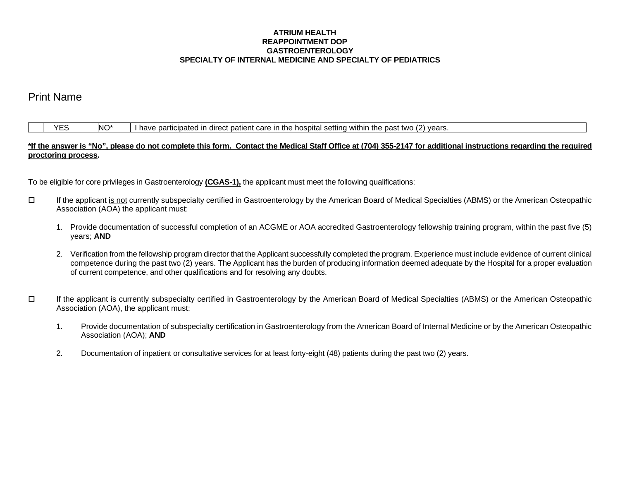## **ATRIUM HEALTH REAPPOINTMENT DOP GASTROENTEROLOGY SPECIALTY OF INTERNAL MEDICINE AND SPECIALTY OF PEDIATRICS**

# Print Name

 $\overline{a}$ 

|  | VE | NO* | I have participated in direct patient care in the hospital setting within the past two (2) years. |
|--|----|-----|---------------------------------------------------------------------------------------------------|
|--|----|-----|---------------------------------------------------------------------------------------------------|

## **\*If the answer is "No", please do not complete this form. Contact the Medical Staff Office at (704) 355-2147 for additional instructions regarding the required proctoring process.**

To be eligible for core privileges in Gastroenterology **(CGAS-1),** the applicant must meet the following qualifications:

- If the applicant is not currently subspecialty certified in Gastroenterology by the American Board of Medical Specialties (ABMS) or the American Osteopathic Association (AOA) the applicant must:
	- 1. Provide documentation of successful completion of an ACGME or AOA accredited Gastroenterology fellowship training program, within the past five (5) years; **AND**
	- 2. Verification from the fellowship program director that the Applicant successfully completed the program. Experience must include evidence of current clinical competence during the past two (2) years. The Applicant has the burden of producing information deemed adequate by the Hospital for a proper evaluation of current competence, and other qualifications and for resolving any doubts.
- If the applicant is currently subspecialty certified in Gastroenterology by the American Board of Medical Specialties (ABMS) or the American Osteopathic Association (AOA), the applicant must:
	- 1. Provide documentation of subspecialty certification in Gastroenterology from the American Board of Internal Medicine or by the American Osteopathic Association (AOA); **AND**
	- 2. Documentation of inpatient or consultative services for at least forty-eight (48) patients during the past two (2) years.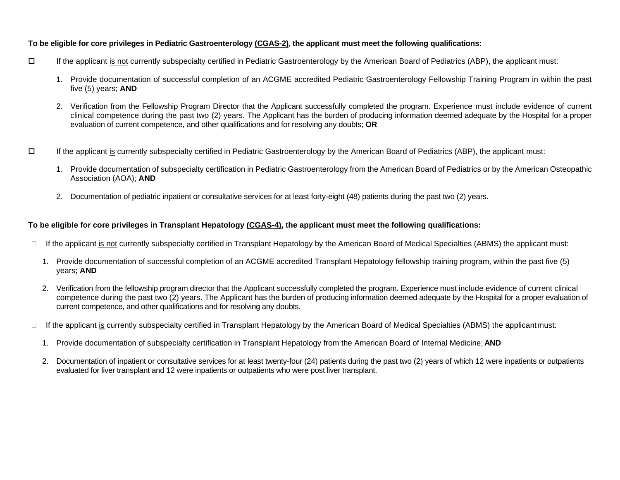## **To be eligible for core privileges in Pediatric Gastroenterology (CGAS-2), the applicant must meet the following qualifications:**

- If the applicant is not currently subspecialty certified in Pediatric Gastroenterology by the American Board of Pediatrics (ABP), the applicant must:
	- 1. Provide documentation of successful completion of an ACGME accredited Pediatric Gastroenterology Fellowship Training Program in within the past five (5) years; **AND**
	- 2. Verification from the Fellowship Program Director that the Applicant successfully completed the program. Experience must include evidence of current clinical competence during the past two (2) years. The Applicant has the burden of producing information deemed adequate by the Hospital for a proper evaluation of current competence, and other qualifications and for resolving any doubts; **OR**
- If the applicant is currently subspecialty certified in Pediatric Gastroenterology by the American Board of Pediatrics (ABP), the applicant must:
	- 1. Provide documentation of subspecialty certification in Pediatric Gastroenterology from the American Board of Pediatrics or by the American Osteopathic Association (AOA); **AND**
	- 2. Documentation of pediatric inpatient or consultative services for at least forty-eight (48) patients during the past two (2) years.

## **To be eligible for core privileges in Transplant Hepatology (CGAS-4), the applicant must meet the following qualifications:**

- $\Box$  If the applicant is not currently subspecialty certified in Transplant Hepatology by the American Board of Medical Specialties (ABMS) the applicant must:
	- 1. Provide documentation of successful completion of an ACGME accredited Transplant Hepatology fellowship training program, within the past five (5) years; **AND**
	- 2. Verification from the fellowship program director that the Applicant successfully completed the program. Experience must include evidence of current clinical competence during the past two (2) years. The Applicant has the burden of producing information deemed adequate by the Hospital for a proper evaluation of current competence, and other qualifications and for resolving any doubts.
- $\Box$  If the applicant is currently subspecialty certified in Transplant Hepatology by the American Board of Medical Specialties (ABMS) the applicantmust:
	- 1. Provide documentation of subspecialty certification in Transplant Hepatology from the American Board of Internal Medicine; **AND**
	- 2. Documentation of inpatient or consultative services for at least twenty-four (24) patients during the past two (2) years of which 12 were inpatients or outpatients evaluated for liver transplant and 12 were inpatients or outpatients who were post liver transplant.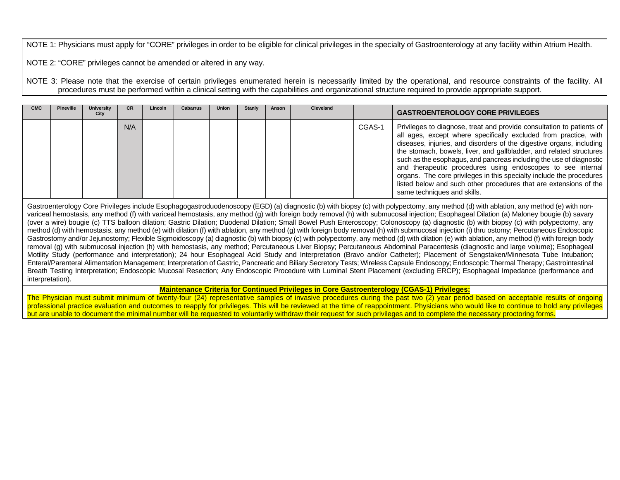NOTE 1: Physicians must apply for "CORE" privileges in order to be eligible for clinical privileges in the specialty of Gastroenterology at any facility within Atrium Health.

NOTE 2: "CORE" privileges cannot be amended or altered in any way.

NOTE 3: Please note that the exercise of certain privileges enumerated herein is necessarily limited by the operational, and resource constraints of the facility. All procedures must be performed within a clinical setting with the capabilities and organizational structure required to provide appropriate support.

| СМС | <b>Pineville</b> | <b>University</b><br>City | <b>CR</b> | Lincoln | <b>Cabarrus</b> | <b>Union</b> | Stanly | Anson | Cleveland |        | <b>GASTROENTEROLOGY CORE PRIVILEGES</b>                                                                                                                                                                                                                                                                                                                                                                                                                                                                                                                                                                    |
|-----|------------------|---------------------------|-----------|---------|-----------------|--------------|--------|-------|-----------|--------|------------------------------------------------------------------------------------------------------------------------------------------------------------------------------------------------------------------------------------------------------------------------------------------------------------------------------------------------------------------------------------------------------------------------------------------------------------------------------------------------------------------------------------------------------------------------------------------------------------|
|     |                  |                           | N/A       |         |                 |              |        |       |           | CGAS-1 | Privileges to diagnose, treat and provide consultation to patients of<br>all ages, except where specifically excluded from practice, with<br>diseases, injuries, and disorders of the digestive organs, including<br>the stomach, bowels, liver, and gallbladder, and related structures<br>such as the esophagus, and pancreas including the use of diagnostic<br>and therapeutic procedures using endoscopes to see internal<br>organs. The core privileges in this specialty include the procedures<br>listed below and such other procedures that are extensions of the<br>same techniques and skills. |

Gastroenterology Core Privileges include Esophagogastroduodenoscopy (EGD) (a) diagnostic (b) with biopsy (c) with polypectomy, any method (d) with ablation, any method (e) with nonvariceal hemostasis, any method (f) with variceal hemostasis, any method (g) with foreign body removal (h) with submucosal injection; Esophageal Dilation (a) Maloney bougie (b) savary (over a wire) bougie (c) TTS balloon dilation; Gastric Dilation; Duodenal Dilation; Small Bowel Push Enteroscopy; Colonoscopy (a) diagnostic (b) with biopsy (c) with polypectomy, any method (d) with hemostasis, any method (e) with dilation (f) with ablation, any method (g) with foreign body removal (h) with submucosal injection (i) thru ostomy; Percutaneous Endoscopic Gastrostomy and/or Jejunostomy; Flexible Sigmoidoscopy (a) diagnostic (b) with biopsy (c) with polypectomy, any method (d) with dilation (e) with ablation, any method (f) with foreign body removal (g) with submucosal injection (h) with hemostasis, any method; Percutaneous Liver Biopsy; Percutaneous Abdominal Paracentesis (diagnostic and large volume); Esophageal Motility Study (performance and interpretation); 24 hour Esophageal Acid Study and Interpretation (Bravo and/or Catheter); Placement of Sengstaken/Minnesota Tube Intubation; Enteral/Parenteral Alimentation Management; Interpretation of Gastric, Pancreatic and Biliary Secretory Tests; Wireless Capsule Endoscopy; Endoscopic Thermal Therapy; Gastrointestinal Breath Testing Interpretation; Endoscopic Mucosal Resection; Any Endoscopic Procedure with Luminal Stent Placement (excluding ERCP); Esophageal Impedance (performance and interpretation).

## **Maintenance Criteria for Continued Privileges in Core Gastroenterology (CGAS-1) Privileges:**

The Physician must submit minimum of twenty-four (24) representative samples of invasive procedures during the past two (2) year period based on acceptable results of ongoing professional practice evaluation and outcomes to reapply for privileges. This will be reviewed at the time of reappointment. Physicians who would like to continue to hold any privileges but are unable to document the minimal number will be requested to voluntarily withdraw their request for such privileges and to complete the necessary proctoring forms.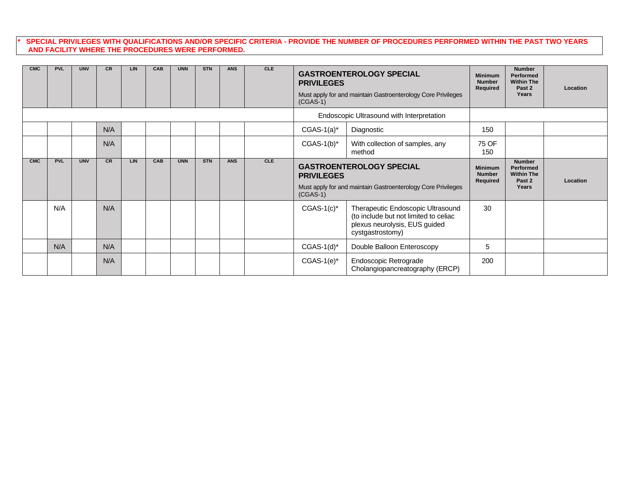## **\* SPECIAL PRIVILEGES WITH QUALIFICATIONS AND/OR SPECIFIC CRITERIA - PROVIDE THE NUMBER OF PROCEDURES PERFORMED WITHIN THE PAST TWO YEARS AND FACILITY WHERE THE PROCEDURES WERE PERFORMED.**

| <b>CMC</b> | <b>PVL</b> | <b>UNV</b> | <b>CR</b> | <b>LIN</b> | <b>CAB</b> | <b>UNN</b> | <b>STN</b> | <b>ANS</b> | <b>CLE</b> | <b>GASTROENTEROLOGY SPECIAL</b><br><b>Minimum</b><br><b>PRIVILEGES</b><br>Required<br>Must apply for and maintain Gastroenterology Core Privileges<br>$(CGAS-1)$ |                                                                                                                                 |              | <b>Number</b><br>Performed<br><b>Within The</b><br>Past 2<br>Years | Location |  |  |
|------------|------------|------------|-----------|------------|------------|------------|------------|------------|------------|------------------------------------------------------------------------------------------------------------------------------------------------------------------|---------------------------------------------------------------------------------------------------------------------------------|--------------|--------------------------------------------------------------------|----------|--|--|
|            |            |            |           |            |            |            |            |            |            |                                                                                                                                                                  | Endoscopic Ultrasound with Interpretation                                                                                       |              |                                                                    |          |  |  |
|            |            |            | N/A       |            |            |            |            |            |            | $CGAS-1(a)^*$                                                                                                                                                    | Diagnostic                                                                                                                      | 150          |                                                                    |          |  |  |
|            |            |            | N/A       |            |            |            |            |            |            | $CGAS-1(b)^*$                                                                                                                                                    | With collection of samples, any<br>method                                                                                       | 75 OF<br>150 |                                                                    |          |  |  |
| CMC        | <b>PVL</b> | <b>UNV</b> | CR        | <b>LIN</b> | CAB        | <b>UNN</b> | <b>STN</b> | <b>ANS</b> | CLE        | $(CGAS-1)$                                                                                                                                                       | <b>GASTROENTEROLOGY SPECIAL</b><br><b>PRIVILEGES</b><br>Must apply for and maintain Gastroenterology Core Privileges            |              |                                                                    | Location |  |  |
|            | N/A        |            | N/A       |            |            |            |            |            |            | $CGAS-1(c)^*$                                                                                                                                                    | Therapeutic Endoscopic Ultrasound<br>(to include but not limited to celiac<br>plexus neurolysis, EUS guided<br>cystgastrostomy) | 30           |                                                                    |          |  |  |
|            | N/A        |            | N/A       |            |            |            |            |            |            | $CGAS-1(d)^*$                                                                                                                                                    | Double Balloon Enteroscopy                                                                                                      | 5            |                                                                    |          |  |  |
|            |            |            | N/A       |            |            |            |            |            |            | $CGAS-1(e)^*$                                                                                                                                                    | Endoscopic Retrograde<br>Cholangiopancreatography (ERCP)                                                                        | 200          |                                                                    |          |  |  |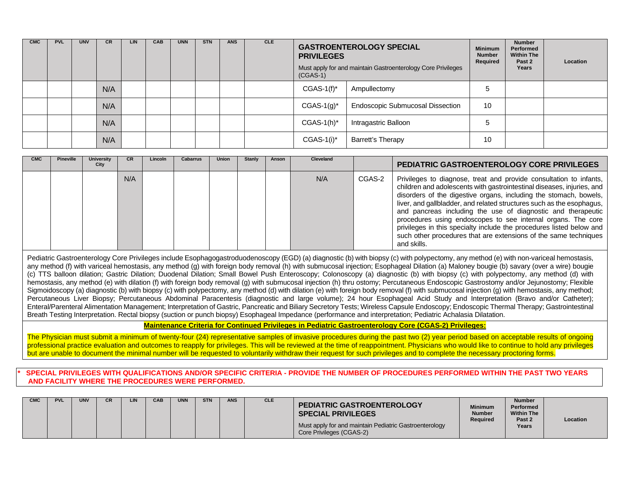| <b>CMC</b> | <b>PVL</b> | <b>UNV</b> | CR. | LIN. | <b>CAB</b> | <b>UNN</b> | <b>STN</b> | <b>ANS</b> | <b>CLE</b> | <b>PRIVILEGES</b><br>$(CGAS-1)$ | <b>GASTROENTEROLOGY SPECIAL</b><br>Must apply for and maintain Gastroenterology Core Privileges |    |  | Location |
|------------|------------|------------|-----|------|------------|------------|------------|------------|------------|---------------------------------|-------------------------------------------------------------------------------------------------|----|--|----------|
|            |            |            | N/A |      |            |            |            |            |            | $CGAS-1(f)^*$                   | Ampullectomy                                                                                    | 5  |  |          |
|            |            |            | N/A |      |            |            |            |            |            | $CGAS-1(g)^*$                   | <b>Endoscopic Submucosal Dissection</b>                                                         | 10 |  |          |
|            |            |            | N/A |      |            |            |            |            |            | $CGAS-1(h)^*$                   | Intragastric Balloon                                                                            | 5  |  |          |
|            |            |            | N/A |      |            |            |            |            |            | $CGAS-1(i)^*$                   | Barrett's Therapy                                                                               | 10 |  |          |

| <b>CMC</b> | <b>Pineville</b> | <b>University</b><br>City | <b>CR</b> | Lincoln | <b>Cabarrus</b> | <b>Union</b> | Stanly | Anson | Cleveland |        | PEDIATRIC GASTROENTEROLOGY CORE PRIVILEGES                                                                                                                                                                                                                                                                                                                                                                                                                                                                                                                                            |
|------------|------------------|---------------------------|-----------|---------|-----------------|--------------|--------|-------|-----------|--------|---------------------------------------------------------------------------------------------------------------------------------------------------------------------------------------------------------------------------------------------------------------------------------------------------------------------------------------------------------------------------------------------------------------------------------------------------------------------------------------------------------------------------------------------------------------------------------------|
|            |                  |                           | N/A       |         |                 |              |        |       | N/A       | CGAS-2 | Privileges to diagnose, treat and provide consultation to infants,<br>children and adolescents with gastrointestinal diseases, injuries, and<br>disorders of the digestive organs, including the stomach, bowels,<br>liver, and gallbladder, and related structures such as the esophagus,<br>and pancreas including the use of diagnostic and therapeutic<br>procedures using endoscopes to see internal organs. The core<br>privileges in this specialty include the procedures listed below and<br>such other procedures that are extensions of the same techniques<br>and skills. |

Pediatric Gastroenterology Core Privileges include Esophagogastroduodenoscopy (EGD) (a) diagnostic (b) with biopsy (c) with polypectomy, any method (e) with non-variceal hemostasis, any method (f) with variceal hemostasis, any method (g) with foreign body removal (h) with submucosal injection; Esophageal Dilation (a) Maloney bougie (b) savary (over a wire) bougie (c) TTS balloon dilation; Gastric Dilation; Duodenal Dilation; Small Bowel Push Enteroscopy; Colonoscopy (a) diagnostic (b) with biopsy (c) with polypectomy, any method (d) with hemostasis, any method (e) with dilation (f) with foreign body removal (g) with submucosal injection (h) thru ostomy; Percutaneous Endoscopic Gastrostomy and/or Jejunostomy; Flexible Sigmoidoscopy (a) diagnostic (b) with biopsy (c) with polypectomy, any method (d) with dilation (e) with foreign body removal (f) with submucosal injection (g) with hemostasis, any method; Percutaneous Liver Biopsy; Percutaneous Abdominal Paracentesis (diagnostic and large volume); 24 hour Esophageal Acid Study and Interpretation (Bravo and/or Catheter); Enteral/Parenteral Alimentation Management; Interpretation of Gastric, Pancreatic and Biliary Secretory Tests; Wireless Capsule Endoscopy; Endoscopic Thermal Therapy; Gastrointestinal Breath Testing Interpretation. Rectal biopsy (suction or punch biopsy) Esophageal Impedance (performance and interpretation; Pediatric Achalasia Dilatation.

**Maintenance Criteria for Continued Privileges in Pediatric Gastroenterology Core (CGAS-2) Privileges:**

The Physician must submit a minimum of twenty-four (24) representative samples of invasive procedures during the past two (2) year period based on acceptable results of ongoing professional practice evaluation and outcomes to reapply for privileges. This will be reviewed at the time of reappointment. Physicians who would like to continue to hold any privileges but are unable to document the minimal number will be requested to voluntarily withdraw their request for such privileges and to complete the necessary proctoring forms.

**\* SPECIAL PRIVILEGES WITH QUALIFICATIONS AND/OR SPECIFIC CRITERIA - PROVIDE THE NUMBER OF PROCEDURES PERFORMED WITHIN THE PAST TWO YEARS AND FACILITY WHERE THE PROCEDURES WERE PERFORMED.**

| <b>CMC</b> | <b>PVL</b> | <b>UNV</b> | <b>CR</b> | <b>LIN</b> | CAB | <b>UNN</b> | <b>STN</b> | <b>ANS</b> | <b>CLE</b> | <b>PEDIATRIC GASTROENTEROLOGY</b><br><b>SPECIAL PRIVILEGES</b><br>Must apply for and maintain Pediatric Gastroenterology<br>Core Privileges (CGAS-2) | <b>Minimum</b><br><b>Number</b><br><b>Required</b> | <b>Number</b><br>Performed<br><b>Within The</b><br>Past 2<br>Years | Location |
|------------|------------|------------|-----------|------------|-----|------------|------------|------------|------------|------------------------------------------------------------------------------------------------------------------------------------------------------|----------------------------------------------------|--------------------------------------------------------------------|----------|
|------------|------------|------------|-----------|------------|-----|------------|------------|------------|------------|------------------------------------------------------------------------------------------------------------------------------------------------------|----------------------------------------------------|--------------------------------------------------------------------|----------|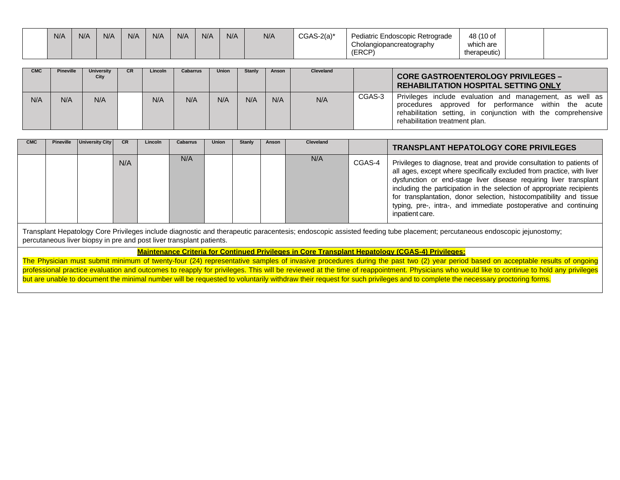| N/A | N/A | N/A | N/A | N/A | N/A | N/f | N/A | N/A | $CGAS-2(a)^*$ | Pediatric Endoscopic Retrograde<br>Cholangiopancreatography | 48 (10 of<br>which are |  |
|-----|-----|-----|-----|-----|-----|-----|-----|-----|---------------|-------------------------------------------------------------|------------------------|--|
|     |     |     |     |     |     |     |     |     |               | (ERCP)                                                      | therapeutic)           |  |

| <b>CMC</b> | Pineville | <b>University</b><br>City | <b>CR</b> | Lincoln | <b>Cabarrus</b> | <b>Union</b> | <b>Stanly</b> | Anson | <b>Cleveland</b> |        | <b>CORE GASTROENTEROLOGY PRIVILEGES -</b><br><b>REHABILITATION HOSPITAL SETTING ONLY</b>                                                                                                                                 |
|------------|-----------|---------------------------|-----------|---------|-----------------|--------------|---------------|-------|------------------|--------|--------------------------------------------------------------------------------------------------------------------------------------------------------------------------------------------------------------------------|
| N/A        | N/A       | N/A                       |           | N/A     | N/A             | N/A          | N/A           | N/A   | N/A              | CGAS-3 | Privileges include evaluation and management, as well as I<br>approved for performance within the acute<br>procedures<br>rehabilitation setting, in conjunction with the comprehensive<br>rehabilitation treatment plan. |

| <b>CMC</b> | <b>Pineville</b> | <b>University City</b> | <b>CR</b> | Lincoln | <b>Cabarrus</b> | Union | Stanly | Anson | Cleveland |        | <b>TRANSPLANT HEPATOLOGY CORE PRIVILEGES</b>                                                                                                                                                                                                                                                                                                                                                                                                                 |
|------------|------------------|------------------------|-----------|---------|-----------------|-------|--------|-------|-----------|--------|--------------------------------------------------------------------------------------------------------------------------------------------------------------------------------------------------------------------------------------------------------------------------------------------------------------------------------------------------------------------------------------------------------------------------------------------------------------|
|            |                  |                        | N/A       |         | N/A             |       |        |       | N/A       | CGAS-4 | Privileges to diagnose, treat and provide consultation to patients of<br>all ages, except where specifically excluded from practice, with liver<br>dysfunction or end-stage liver disease requiring liver transplant<br>including the participation in the selection of appropriate recipients<br>for transplantation, donor selection, histocompatibility and tissue<br>typing, pre-, intra-, and immediate postoperative and continuing<br>inpatient care. |

Transplant Hepatology Core Privileges include diagnostic and therapeutic paracentesis; endoscopic assisted feeding tube placement; percutaneous endoscopic jejunostomy; percutaneous liver biopsy in pre and post liver transplant patients.

**Maintenance Criteria for Continued Privileges in Core Transplant Hepatology (CGAS-4) Privileges:**

The Physician must submit minimum of twenty-four (24) representative samples of invasive procedures during the past two (2) year period based on acceptable results of ongoing professional practice evaluation and outcomes to reapply for privileges. This will be reviewed at the time of reappointment. Physicians who would like to continue to hold any privileges but are unable to document the minimal number will be requested to voluntarily withdraw their request for such privileges and to complete the necessary proctoring forms.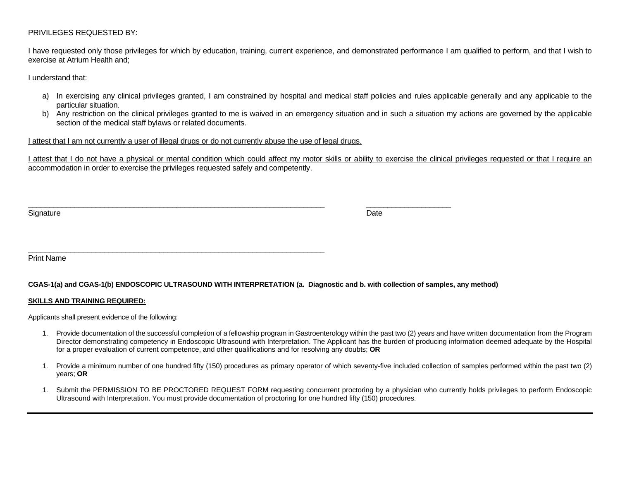## PRIVILEGES REQUESTED BY:

I have requested only those privileges for which by education, training, current experience, and demonstrated performance I am qualified to perform, and that I wish to exercise at Atrium Health and;

I understand that:

- a) In exercising any clinical privileges granted, I am constrained by hospital and medical staff policies and rules applicable generally and any applicable to the particular situation.
- b) Any restriction on the clinical privileges granted to me is waived in an emergency situation and in such a situation my actions are governed by the applicable section of the medical staff bylaws or related documents.

## I attest that I am not currently a user of illegal drugs or do not currently abuse the use of legal drugs.

\_\_\_\_\_\_\_\_\_\_\_\_\_\_\_\_\_\_\_\_\_\_\_\_\_\_\_\_\_\_\_\_\_\_\_\_\_\_\_\_\_\_\_\_\_\_\_\_\_\_\_\_\_\_\_\_\_\_\_\_\_\_\_\_\_\_\_\_\_\_

I attest that I do not have a physical or mental condition which could affect my motor skills or ability to exercise the clinical privileges requested or that I require an accommodation in order to exercise the privileges requested safely and competently.

Signature **Date** 

\_\_\_\_\_\_\_\_\_\_\_\_\_\_\_\_\_\_\_\_\_\_\_\_\_\_\_\_\_\_\_\_\_\_\_\_\_\_\_\_\_\_\_\_\_\_\_\_\_\_\_\_\_\_\_\_\_\_\_\_\_\_\_\_\_\_\_\_\_\_ \_\_\_\_\_\_\_\_\_\_\_\_\_\_\_\_\_\_\_\_

Print Name

## **CGAS-1(a) and CGAS-1(b) ENDOSCOPIC ULTRASOUND WITH INTERPRETATION (a. Diagnostic and b. with collection of samples, any method)**

## **SKILLS AND TRAINING REQUIRED:**

Applicants shall present evidence of the following:

- 1. Provide documentation of the successful completion of a fellowship program in Gastroenterology within the past two (2) years and have written documentation from the Program Director demonstrating competency in Endoscopic Ultrasound with Interpretation. The Applicant has the burden of producing information deemed adequate by the Hospital for a proper evaluation of current competence, and other qualifications and for resolving any doubts; **OR**
- 1. Provide a minimum number of one hundred fifty (150) procedures as primary operator of which seventy-five included collection of samples performed within the past two (2) years; **OR**
- 1. Submit the PERMISSION TO BE PROCTORED REQUEST FORM requesting concurrent proctoring by a physician who currently holds privileges to perform Endoscopic Ultrasound with Interpretation. You must provide documentation of proctoring for one hundred fifty (150) procedures.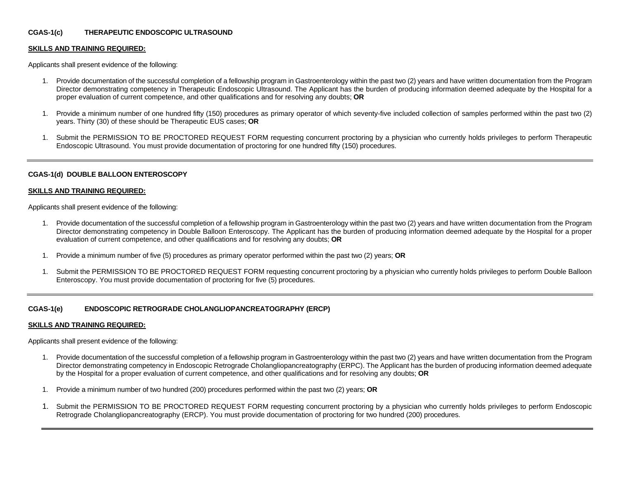## **CGAS-1(c) THERAPEUTIC ENDOSCOPIC ULTRASOUND**

### **SKILLS AND TRAINING REQUIRED:**

Applicants shall present evidence of the following:

- 1. Provide documentation of the successful completion of a fellowship program in Gastroenterology within the past two (2) years and have written documentation from the Program Director demonstrating competency in Therapeutic Endoscopic Ultrasound. The Applicant has the burden of producing information deemed adequate by the Hospital for a proper evaluation of current competence, and other qualifications and for resolving any doubts; **OR**
- 1. Provide a minimum number of one hundred fifty (150) procedures as primary operator of which seventy-five included collection of samples performed within the past two (2) years. Thirty (30) of these should be Therapeutic EUS cases; **OR**
- 1. Submit the PERMISSION TO BE PROCTORED REQUEST FORM requesting concurrent proctoring by a physician who currently holds privileges to perform Therapeutic Endoscopic Ultrasound. You must provide documentation of proctoring for one hundred fifty (150) procedures.

### **CGAS-1(d) DOUBLE BALLOON ENTEROSCOPY**

#### **SKILLS AND TRAINING REQUIRED:**

Applicants shall present evidence of the following:

- 1. Provide documentation of the successful completion of a fellowship program in Gastroenterology within the past two (2) years and have written documentation from the Program Director demonstrating competency in Double Balloon Enteroscopy. The Applicant has the burden of producing information deemed adequate by the Hospital for a proper evaluation of current competence, and other qualifications and for resolving any doubts; **OR**
- 1. Provide a minimum number of five (5) procedures as primary operator performed within the past two (2) years; **OR**
- 1. Submit the PERMISSION TO BE PROCTORED REQUEST FORM requesting concurrent proctoring by a physician who currently holds privileges to perform Double Balloon Enteroscopy. You must provide documentation of proctoring for five (5) procedures.

## **CGAS-1(e) ENDOSCOPIC RETROGRADE CHOLANGLIOPANCREATOGRAPHY (ERCP)**

### **SKILLS AND TRAINING REQUIRED:**

Applicants shall present evidence of the following:

- 1. Provide documentation of the successful completion of a fellowship program in Gastroenterology within the past two (2) years and have written documentation from the Program Director demonstrating competency in Endoscopic Retrograde Cholangliopancreatography (ERPC). The Applicant has the burden of producing information deemed adequate by the Hospital for a proper evaluation of current competence, and other qualifications and for resolving any doubts; **OR**
- 1. Provide a minimum number of two hundred (200) procedures performed within the past two (2) years; **OR**
- 1. Submit the PERMISSION TO BE PROCTORED REQUEST FORM requesting concurrent proctoring by a physician who currently holds privileges to perform Endoscopic Retrograde Cholangliopancreatography (ERCP). You must provide documentation of proctoring for two hundred (200) procedures.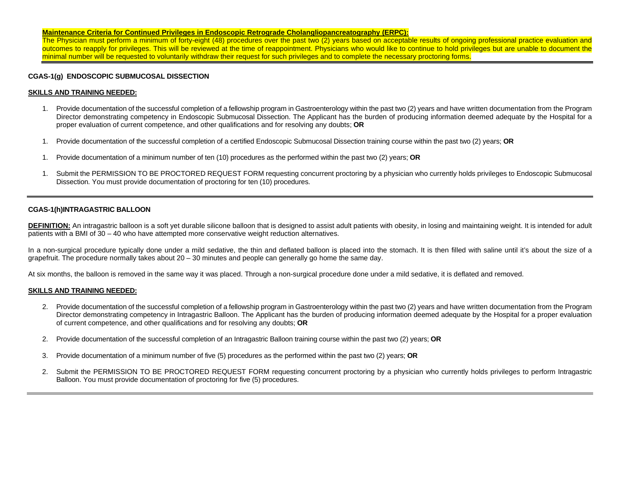### **Maintenance Criteria for Continued Privileges in Endoscopic Retrograde Cholangliopancreatography (ERPC):**

The Physician must perform a minimum of forty-eight (48) procedures over the past two (2) years based on acceptable results of ongoing professional practice evaluation and outcomes to reapply for privileges. This will be reviewed at the time of reappointment. Physicians who would like to continue to hold privileges but are unable to document the minimal number will be requested to voluntarily withdraw their request for such privileges and to complete the necessary proctoring forms.

### **CGAS-1(g) ENDOSCOPIC SUBMUCOSAL DISSECTION**

### **SKILLS AND TRAINING NEEDED:**

- 1. Provide documentation of the successful completion of a fellowship program in Gastroenterology within the past two (2) years and have written documentation from the Program Director demonstrating competency in Endoscopic Submucosal Dissection. The Applicant has the burden of producing information deemed adequate by the Hospital for a proper evaluation of current competence, and other qualifications and for resolving any doubts; **OR**
- 1. Provide documentation of the successful completion of a certified Endoscopic Submucosal Dissection training course within the past two (2) years; **OR**
- 1. Provide documentation of a minimum number of ten (10) procedures as the performed within the past two (2) years; **OR**
- 1. Submit the PERMISSION TO BE PROCTORED REQUEST FORM requesting concurrent proctoring by a physician who currently holds privileges to Endoscopic Submucosal Dissection. You must provide documentation of proctoring for ten (10) procedures.

### **CGAS-1(h)INTRAGASTRIC BALLOON**

DEFINITION: An intragastric balloon is a soft yet durable silicone balloon that is designed to assist adult patients with obesity, in losing and maintaining weight. It is intended for adult patients with a BMI of 30 – 40 who have attempted more conservative weight reduction alternatives.

In a non-surgical procedure typically done under a mild sedative, the thin and deflated balloon is placed into the stomach. It is then filled with saline until it's about the size of a grapefruit. The procedure normally takes about 20 – 30 minutes and people can generally go home the same day.

At six months, the balloon is removed in the same way it was placed. Through a non-surgical procedure done under a mild sedative, it is deflated and removed.

### **SKILLS AND TRAINING NEEDED:**

- 2. Provide documentation of the successful completion of a fellowship program in Gastroenterology within the past two (2) years and have written documentation from the Program Director demonstrating competency in Intragastric Balloon. The Applicant has the burden of producing information deemed adequate by the Hospital for a proper evaluation of current competence, and other qualifications and for resolving any doubts; **OR**
- 2. Provide documentation of the successful completion of an Intragastric Balloon training course within the past two (2) years; **OR**
- 3. Provide documentation of a minimum number of five (5) procedures as the performed within the past two (2) years; **OR**
- 2. Submit the PERMISSION TO BE PROCTORED REQUEST FORM requesting concurrent proctoring by a physician who currently holds privileges to perform Intragastric Balloon. You must provide documentation of proctoring for five (5) procedures.